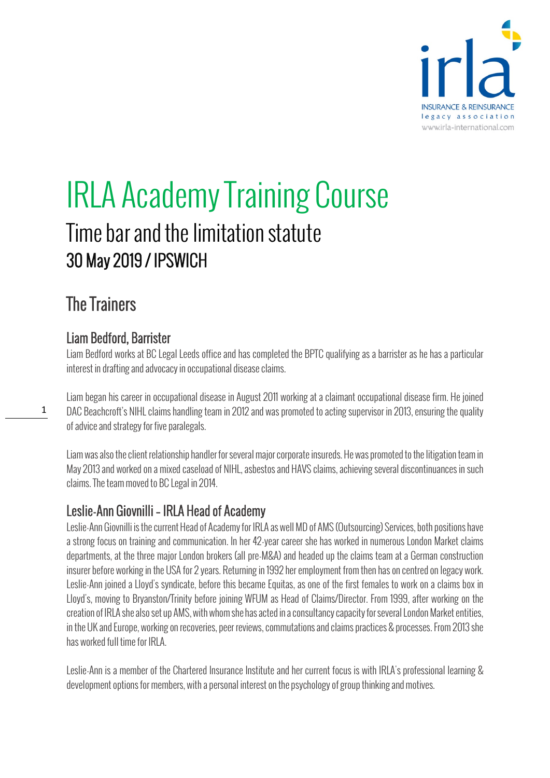

# IRLA Academy Training Course Time bar and the limitation statute 30 May 2019 / IPSWICH

## The Trainers

1

#### Liam Bedford, Barrister

Liam Bedford works at BC Legal Leeds office and has completed the BPTC qualifying as a barrister as he has a particular interest in drafting and advocacy in occupational disease claims.

Liam began his career in occupational disease in August 2011 working at a claimant occupational disease firm. He joined DAC Beachcroft's NIHL claims handling team in 2012 and was promoted to acting supervisor in 2013, ensuring the quality of advice and strategy for five paralegals.

Liam was also the client relationship handler for several major corporate insureds. He was promoted to the litigation team in May 2013 and worked on a mixed caseload of NIHL, asbestos and HAVS claims, achieving several discontinuances in such claims.The team moved to BC Legal in 2014.

#### Leslie-Ann Giovnilli – IRLA Head of Academy

Leslie-Ann Giovnilli is the current Head of Academy for IRLA as well MD of AMS (Outsourcing) Services, both positions have a strong focus on training and communication. In her 42-year career she has worked in numerous London Market claims departments, at the three major London brokers (all pre-M&A) and headed up the claims team at a German construction insurer before working in the USA for 2 years. Returning in 1992 her employment from then has on centred on legacy work. Leslie-Ann joined a Lloyd's syndicate, before this became Equitas, as one of the first females to work on a claims box in Lloyd's, moving to Bryanston/Trinity before joining WFUM as Head of Claims/Director. From 1999, after working on the creation of IRLA she also set up AMS, with whomshe has acted in a consultancy capacity for several London Market entities, in the UK and Europe, working on recoveries, peer reviews, commutations and claims practices & processes.From 2013 she has worked full time for IRLA.

Leslie-Ann is a member of the Chartered Insurance Institute and her current focus is with IRLA's professional learning & development options for members, with a personal interest on the psychology of group thinking and motives.